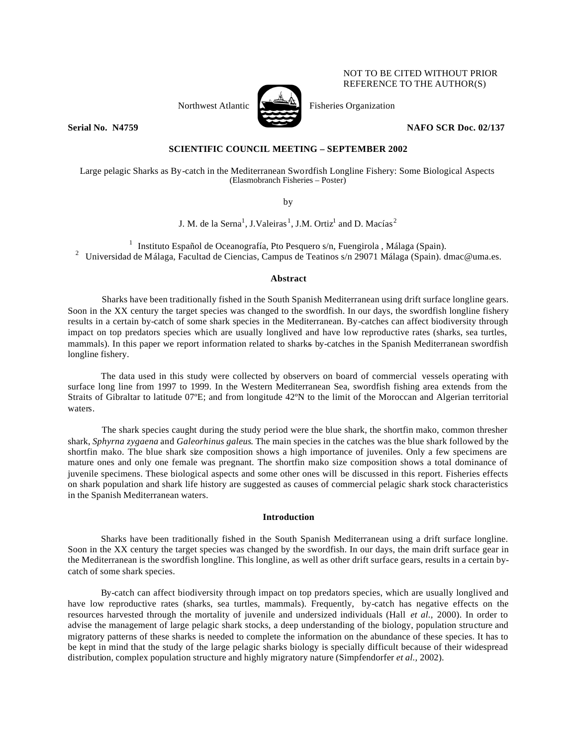# Northwest Atlantic  $\sum_{n=1}^{\infty}$  Fisheries Organization



REFERENCE TO THE AUTHOR(S)

NOT TO BE CITED WITHOUT PRIOR

## **Serial No. N4759 NAFO SCR Doc. 02/137**

## **SCIENTIFIC COUNCIL MEETING – SEPTEMBER 2002**

Large pelagic Sharks as By-catch in the Mediterranean Swordfish Longline Fishery: Some Biological Aspects (Elasmobranch Fisheries – Poster)

by

J. M. de la Serna $^1$ , J.Valeiras $^1$ , J.M. Ortiz $^1$  and D. Macías $^2$ 

<sup>1</sup> Instituto Español de Oceanografía, Pto Pesquero s/n, Fuengirola , Málaga (Spain). <sup>2</sup> Universidad de Málaga, Facultad de Ciencias, Campus de Teatinos s/n 29071 Málaga (Spain). dmac@uma.es.

## **Abstract**

Sharks have been traditionally fished in the South Spanish Mediterranean using drift surface longline gears. Soon in the XX century the target species was changed to the swordfish. In our days, the swordfish longline fishery results in a certain by-catch of some shark species in the Mediterranean. By-catches can affect biodiversity through impact on top predators species which are usually longlived and have low reproductive rates (sharks, sea turtles, mammals). In this paper we report information related to sharks by-catches in the Spanish Mediterranean swordfish longline fishery.

The data used in this study were collected by observers on board of commercial vessels operating with surface long line from 1997 to 1999. In the Western Mediterranean Sea, swordfish fishing area extends from the Straits of Gibraltar to latitude 07ºE; and from longitude 42ºN to the limit of the Moroccan and Algerian territorial waters.

The shark species caught during the study period were the blue shark, the shortfin mako, common thresher shark, *Sphyrna zygaena* and *Galeorhinus galeus*. The main species in the catches was the blue shark followed by the shortfin mako. The blue shark size composition shows a high importance of juveniles. Only a few specimens are mature ones and only one female was pregnant. The shortfin mako size composition shows a total dominance of juvenile specimens. These biological aspects and some other ones will be discussed in this report. Fisheries effects on shark population and shark life history are suggested as causes of commercial pelagic shark stock characteristics in the Spanish Mediterranean waters.

## **Introduction**

Sharks have been traditionally fished in the South Spanish Mediterranean using a drift surface longline. Soon in the XX century the target species was changed by the swordfish. In our days, the main drift surface gear in the Mediterranean is the swordfish longline. This longline, as well as other drift surface gears, results in a certain bycatch of some shark species.

By-catch can affect biodiversity through impact on top predators species, which are usually longlived and have low reproductive rates (sharks, sea turtles, mammals). Frequently, by-catch has negative effects on the resources harvested through the mortality of juvenile and undersized individuals (Hall *et al.,* 2000). In order to advise the management of large pelagic shark stocks, a deep understanding of the biology, population structure and migratory patterns of these sharks is needed to complete the information on the abundance of these species. It has to be kept in mind that the study of the large pelagic sharks biology is specially difficult because of their widespread distribution, complex population structure and highly migratory nature (Simpfendorfer *et al.,* 2002).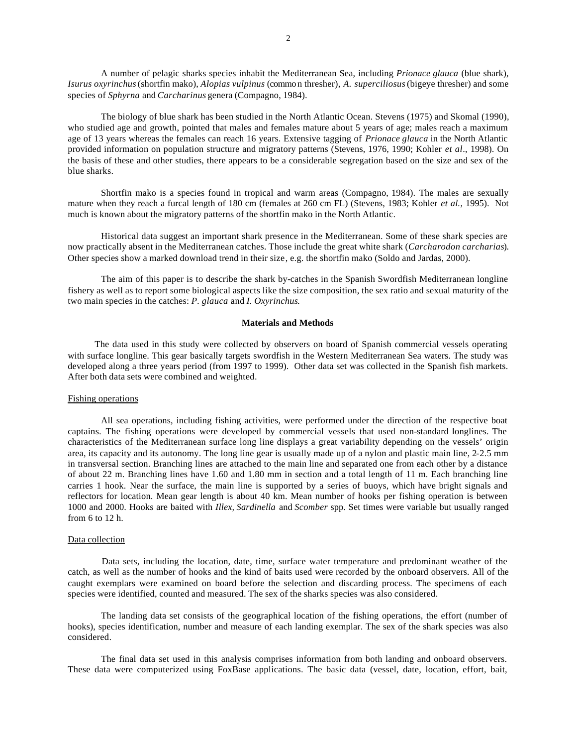A number of pelagic sharks species inhabit the Mediterranean Sea, including *Prionace glauca* (blue shark), *Isurus oxyrinchus* (shortfin mako), *Alopias vulpinus* (common thresher), *A. superciliosus* (bigeye thresher) and some species of *Sphyrna* and *Carcharinus* genera (Compagno, 1984).

The biology of blue shark has been studied in the North Atlantic Ocean. Stevens (1975) and Skomal (1990), who studied age and growth, pointed that males and females mature about 5 years of age; males reach a maximum age of 13 years whereas the females can reach 16 years. Extensive tagging of *Prionace glauca* in the North Atlantic provided information on population structure and migratory patterns (Stevens, 1976, 1990; Kohler *et al*., 1998). On the basis of these and other studies, there appears to be a considerable segregation based on the size and sex of the blue sharks.

Shortfin mako is a species found in tropical and warm areas (Compagno, 1984). The males are sexually mature when they reach a furcal length of 180 cm (females at 260 cm FL) (Stevens, 1983; Kohler *et al.,* 1995). Not much is known about the migratory patterns of the shortfin mako in the North Atlantic.

Historical data suggest an important shark presence in the Mediterranean. Some of these shark species are now practically absent in the Mediterranean catches. Those include the great white shark (*Carcharodon carcharias*). Other species show a marked download trend in their size, e.g. the shortfin mako (Soldo and Jardas, 2000).

The aim of this paper is to describe the shark by-catches in the Spanish Swordfish Mediterranean longline fishery as well as to report some biological aspects like the size composition, the sex ratio and sexual maturity of the two main species in the catches: *P. glauca* and *I. Oxyrinchus*.

### **Materials and Methods**

The data used in this study were collected by observers on board of Spanish commercial vessels operating with surface longline. This gear basically targets swordfish in the Western Mediterranean Sea waters. The study was developed along a three years period (from 1997 to 1999). Other data set was collected in the Spanish fish markets. After both data sets were combined and weighted.

### Fishing operations

All sea operations, including fishing activities, were performed under the direction of the respective boat captains. The fishing operations were developed by commercial vessels that used non-standard longlines. The characteristics of the Mediterranean surface long line displays a great variability depending on the vessels' origin area, its capacity and its autonomy. The long line gear is usually made up of a nylon and plastic main line, 2-2.5 mm in transversal section. Branching lines are attached to the main line and separated one from each other by a distance of about 22 m. Branching lines have 1.60 and 1.80 mm in section and a total length of 11 m. Each branching line carries 1 hook. Near the surface, the main line is supported by a series of buoys, which have bright signals and reflectors for location. Mean gear length is about 40 km. Mean number of hooks per fishing operation is between 1000 and 2000. Hooks are baited with *Illex, Sardinella* and *Scomber* spp. Set times were variable but usually ranged from 6 to 12 h.

#### Data collection

Data sets, including the location, date, time, surface water temperature and predominant weather of the catch, as well as the number of hooks and the kind of baits used were recorded by the onboard observers. All of the caught exemplars were examined on board before the selection and discarding process. The specimens of each species were identified, counted and measured. The sex of the sharks species was also considered.

The landing data set consists of the geographical location of the fishing operations, the effort (number of hooks), species identification, number and measure of each landing exemplar. The sex of the shark species was also considered.

The final data set used in this analysis comprises information from both landing and onboard observers. These data were computerized using FoxBase applications. The basic data (vessel, date, location, effort, bait,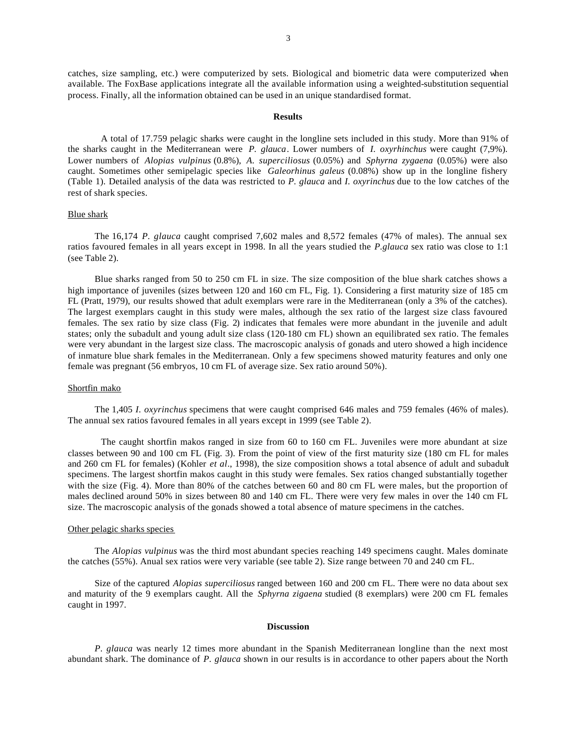catches, size sampling, etc.) were computerized by sets. Biological and biometric data were computerized when available. The FoxBase applications integrate all the available information using a weighted-substitution sequential process. Finally, all the information obtained can be used in an unique standardised format.

#### **Results**

A total of 17.759 pelagic sharks were caught in the longline sets included in this study. More than 91% of the sharks caught in the Mediterranean were *P. glauca*. Lower numbers of *I. oxyrhinchus* were caught (7,9%). Lower numbers of *Alopias vulpinus* (0.8%), *A. superciliosus* (0.05%) and *Sphyrna zygaena* (0.05%) were also caught. Sometimes other semipelagic species like *Galeorhinus galeus* (0.08%) show up in the longline fishery (Table 1). Detailed analysis of the data was restricted to *P. glauca* and *I. oxyrinchus* due to the low catches of the rest of shark species.

#### Blue shark

The 16,174 *P. glauca* caught comprised 7,602 males and 8,572 females (47% of males). The annual sex ratios favoured females in all years except in 1998. In all the years studied the *P.glauca* sex ratio was close to 1:1 (see Table 2).

Blue sharks ranged from 50 to 250 cm FL in size. The size composition of the blue shark catches shows a high importance of juveniles (sizes between 120 and 160 cm FL, Fig. 1). Considering a first maturity size of 185 cm FL (Pratt, 1979), our results showed that adult exemplars were rare in the Mediterranean (only a 3% of the catches). The largest exemplars caught in this study were males, although the sex ratio of the largest size class favoured females. The sex ratio by size class (Fig. 2) indicates that females were more abundant in the juvenile and adult states; only the subadult and young adult size class (120-180 cm FL) shown an equilibrated sex ratio. The females were very abundant in the largest size class. The macroscopic analysis of gonads and utero showed a high incidence of inmature blue shark females in the Mediterranean. Only a few specimens showed maturity features and only one female was pregnant (56 embryos, 10 cm FL of average size. Sex ratio around 50%).

### Shortfin mako

The 1,405 *I. oxyrinchus* specimens that were caught comprised 646 males and 759 females (46% of males). The annual sex ratios favoured females in all years except in 1999 (see Table 2).

The caught shortfin makos ranged in size from 60 to 160 cm FL. Juveniles were more abundant at size classes between 90 and 100 cm FL (Fig. 3). From the point of view of the first maturity size (180 cm FL for males and 260 cm FL for females) (Kohler *et al*., 1998), the size composition shows a total absence of adult and subadult specimens. The largest shortfin makos caught in this study were females. Sex ratios changed substantially together with the size (Fig. 4). More than 80% of the catches between 60 and 80 cm FL were males, but the proportion of males declined around 50% in sizes between 80 and 140 cm FL. There were very few males in over the 140 cm FL size. The macroscopic analysis of the gonads showed a total absence of mature specimens in the catches.

### Other pelagic sharks species

The *Alopias vulpinus* was the third most abundant species reaching 149 specimens caught. Males dominate the catches (55%). Anual sex ratios were very variable (see table 2). Size range between 70 and 240 cm FL.

Size of the captured *Alopias superciliosus* ranged between 160 and 200 cm FL. There were no data about sex and maturity of the 9 exemplars caught. All the *Sphyrna zigaena* studied (8 exemplars) were 200 cm FL females caught in 1997.

#### **Discussion**

*P. glauca* was nearly 12 times more abundant in the Spanish Mediterranean longline than the next most abundant shark. The dominance of *P. glauca* shown in our results is in accordance to other papers about the North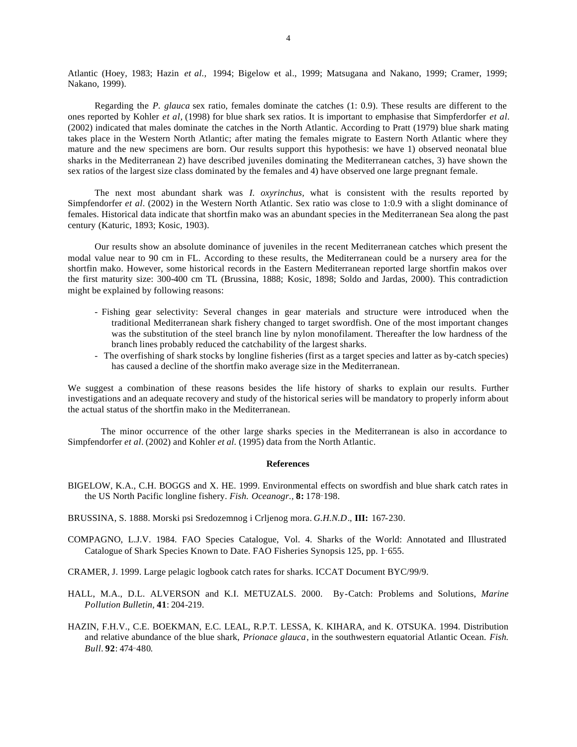Atlantic (Hoey, 1983; Hazin *et al.,* 1994; Bigelow et al., 1999; Matsugana and Nakano, 1999; Cramer, 1999; Nakano, 1999).

Regarding the *P. glauca* sex ratio, females dominate the catches (1: 0.9). These results are different to the ones reported by Kohler *et al,* (1998) for blue shark sex ratios. It is important to emphasise that Simpferdorfer *et al.* (2002) indicated that males dominate the catches in the North Atlantic. According to Pratt (1979) blue shark mating takes place in the Western North Atlantic; after mating the females migrate to Eastern North Atlantic where they mature and the new specimens are born. Our results support this hypothesis: we have 1) observed neonatal blue sharks in the Mediterranean 2) have described juveniles dominating the Mediterranean catches, 3) have shown the sex ratios of the largest size class dominated by the females and 4) have observed one large pregnant female.

The next most abundant shark was *I. oxyrinchus,* what is consistent with the results reported by Simpfendorfer *et al*. (2002) in the Western North Atlantic. Sex ratio was close to 1:0.9 with a slight dominance of females. Historical data indicate that shortfin mako was an abundant species in the Mediterranean Sea along the past century (Katuric, 1893; Kosic, 1903).

Our results show an absolute dominance of juveniles in the recent Mediterranean catches which present the modal value near to 90 cm in FL. According to these results, the Mediterranean could be a nursery area for the shortfin mako. However, some historical records in the Eastern Mediterranean reported large shortfin makos over the first maturity size: 300-400 cm TL (Brussina, 1888; Kosic, 1898; Soldo and Jardas, 2000). This contradiction might be explained by following reasons:

- Fishing gear selectivity: Several changes in gear materials and structure were introduced when the traditional Mediterranean shark fishery changed to target swordfish. One of the most important changes was the substitution of the steel branch line by nylon monofilament. Thereafter the low hardness of the branch lines probably reduced the catchability of the largest sharks.
- The overfishing of shark stocks by longline fisheries (first as a target species and latter as by-catch species) has caused a decline of the shortfin mako average size in the Mediterranean.

We suggest a combination of these reasons besides the life history of sharks to explain our results. Further investigations and an adequate recovery and study of the historical series will be mandatory to properly inform about the actual status of the shortfin mako in the Mediterranean.

The minor occurrence of the other large sharks species in the Mediterranean is also in accordance to Simpfendorfer *et al.* (2002) and Kohler *et al.* (1995) data from the North Atlantic.

#### **References**

- BIGELOW, K.A., C.H. BOGGS and X. HE. 1999. Environmental effects on swordfish and blue shark catch rates in the US North Pacific longline fishery. *Fish. Oceanogr.*, **8:** 178-198.
- BRUSSINA, S. 1888. Morski psi Sredozemnog i Crljenog mora. *G.H.N.D*., **III:** 167-230.
- COMPAGNO, L.J.V. 1984. FAO Species Catalogue, Vol. 4. Sharks of the World: Annotated and Illustrated Catalogue of Shark Species Known to Date. FAO Fisheries Synopsis 125, pp. 1-655.
- CRAMER, J. 1999. Large pelagic logbook catch rates for sharks. ICCAT Document BYC/99/9.
- HALL, M.A., D.L. ALVERSON and K.I. METUZALS. 2000. By-Catch: Problems and Solutions, *Marine Pollution Bulletin,* **41**: 204-219.
- HAZIN, F.H.V., C.E. BOEKMAN, E.C. LEAL, R.P.T. LESSA, K. KIHARA, and K. OTSUKA. 1994. Distribution and relative abundance of the blue shark, *Prionace glauca*, in the southwestern equatorial Atlantic Ocean. *Fish. Bull.* **92**: 474¯480.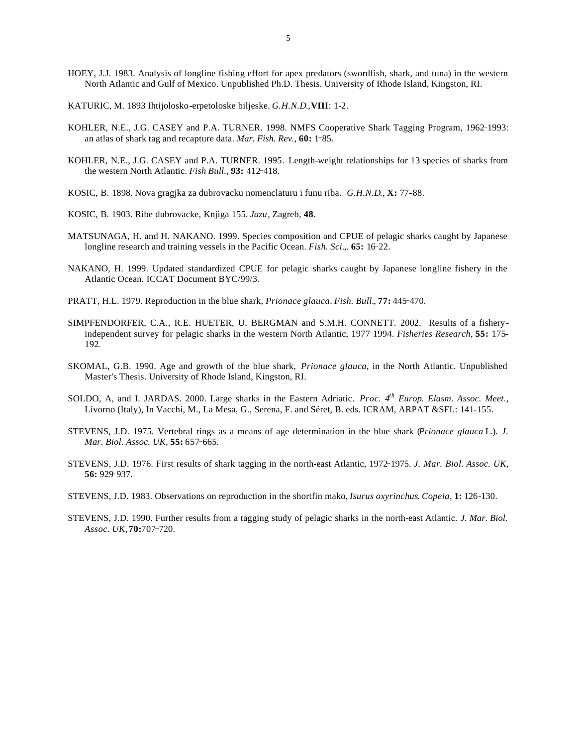- HOEY, J.J. 1983. Analysis of longline fishing effort for apex predators (swordfish, shark, and tuna) in the western North Atlantic and Gulf of Mexico. Unpublished Ph.D. Thesis. University of Rhode Island, Kingston, RI.
- KATURIC, M. 1893 Ihtijolosko-erpetoloske biljeske. *G.H.N.D*.,**VIII**: 1-2.
- KOHLER, N.E., J.G. CASEY and P.A. TURNER. 1998. NMFS Cooperative Shark Tagging Program, 1962-1993: an atlas of shark tag and recapture data. *Mar. Fish. Rev.*, 60: 1-85.
- KOHLER, N.E., J.G. CASEY and P.A. TURNER. 1995. Length-weight relationships for 13 species of sharks from the western North Atlantic. *Fish Bull.*, 93: 412-418.
- KOSIC, B. 1898. Nova gragjka za dubrovacku nomenclaturu i funu riba. *G.H.N.D*., **X:** 77-88.
- KOSIC, B. 1903. Ribe dubrovacke, Knjiga 155. *Jazu*, Zagreb, **48**.
- MATSUNAGA, H. and H. NAKANO. 1999. Species composition and CPUE of pelagic sharks caught by Japanese longline research and training vessels in the Pacific Ocean. *Fish. Sci.*, **65:** 16-22.
- NAKANO, H. 1999. Updated standardized CPUE for pelagic sharks caught by Japanese longline fishery in the Atlantic Ocean. ICCAT Document BYC/99/3.
- PRATT, H.L. 1979. Reproduction in the blue shark, *Prionace glauca*. *Fish. Bull.*, **77:** 445-470.
- SIMPFENDORFER, C.A., R.E. HUETER, U. BERGMAN and S.M.H. CONNETT. 2002. Results of a fisheryindependent survey for pelagic sharks in the western North Atlantic, 1977-1994. *Fisheries Research*, **55:** 175-192*.*
- SKOMAL, G.B. 1990. Age and growth of the blue shark, *Prionace glauca*, in the North Atlantic. Unpublished Master's Thesis. University of Rhode Island, Kingston, RI.
- SOLDO, A, and I. JARDAS. 2000. Large sharks in the Eastern Adriatic. *Proc. 4th Europ. Elasm. Assoc. Meet*., Livorno (Italy), In Vacchi, M., La Mesa, G., Serena, F. and Séret, B. eds. ICRAM, ARPAT &SFI.: 141-155.
- STEVENS, J.D. 1975. Vertebral rings as a means of age determination in the blue shark (*Prionace glauca* L.). *J. Mar. Biol. Assoc. UK,* 55: 657-665.
- STEVENS, J.D. 1976. First results of shark tagging in the north-east Atlantic, 1972¯1975. *J. Mar. Biol. Assoc. UK,* **56:** 929¯937.
- STEVENS, J.D. 1983. Observations on reproduction in the shortfin mako, *Isurus oxyrinchus*. *Copeia,* **1:** 126-130.
- STEVENS, J.D. 1990. Further results from a tagging study of pelagic sharks in the north-east Atlantic. *J. Mar. Biol. Assoc. UK,***70:**707¯720.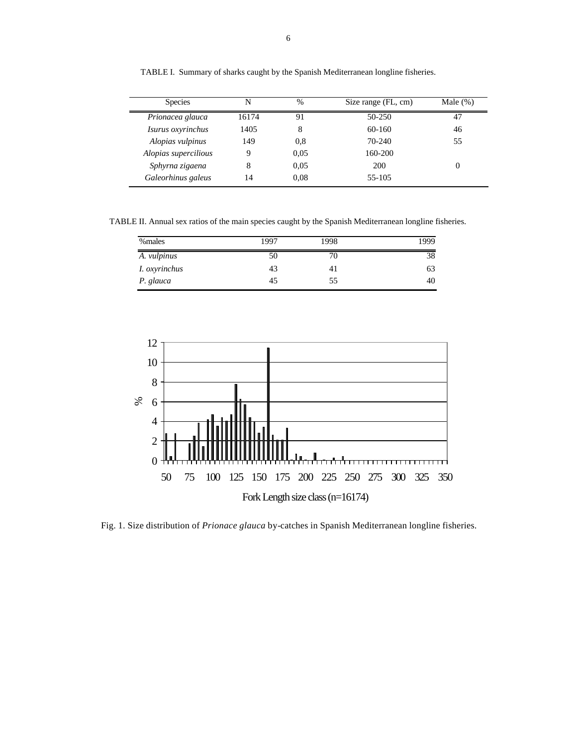| <b>Species</b>       | N     | $\frac{0}{0}$ | Size range (FL, cm) | Male $(\%)$ |
|----------------------|-------|---------------|---------------------|-------------|
| Prionacea glauca     | 16174 | 91            | $50-250$            | 47          |
| Isurus oxyrinchus    | 1405  | 8             | 60-160              | 46          |
| Alopias vulpinus     | 149   | 0.8           | 70-240              | 55          |
| Alopias supercilious | Q     | 0.05          | 160-200             |             |
| Sphyrna zigaena      | 8     | 0.05          | 200                 | 0           |
| Galeorhinus galeus   | 14    | 0.08          | 55-105              |             |

TABLE I. Summary of sharks caught by the Spanish Mediterranean longline fisheries.

TABLE II. Annual sex ratios of the main species caught by the Spanish Mediterranean longline fisheries.

| %males               | 1997 | 1998 | 1999 |
|----------------------|------|------|------|
| A. <i>vulpinus</i>   | 50   | 70   | 38   |
| <i>I. oxyrinchus</i> | 43   | 41   | 63   |
| P. glauca            | 45   | 55   | 40   |



Fig. 1. Size distribution of *Prionace glauca* by-catches in Spanish Mediterranean longline fisheries.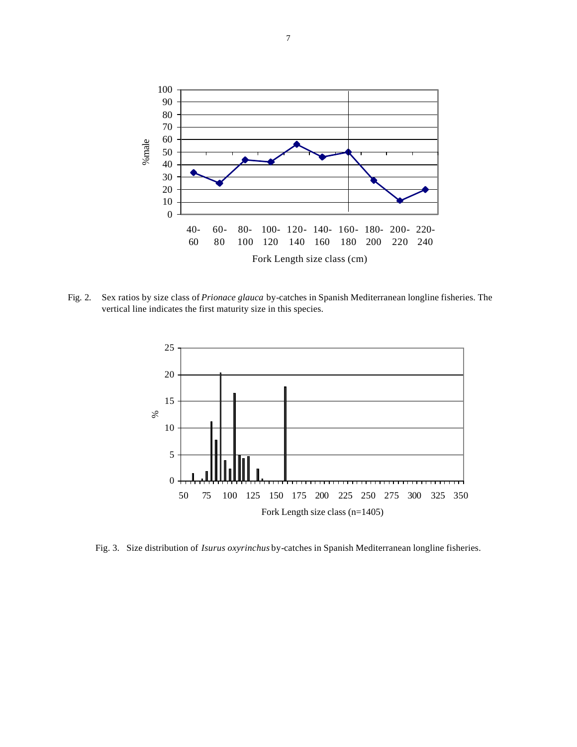

Fig. 2. Sex ratios by size class of *Prionace glauca* by-catches in Spanish Mediterranean longline fisheries. The vertical line indicates the first maturity size in this species.



Fig. 3. Size distribution of *Isurus oxyrinchus* by-catches in Spanish Mediterranean longline fisheries.